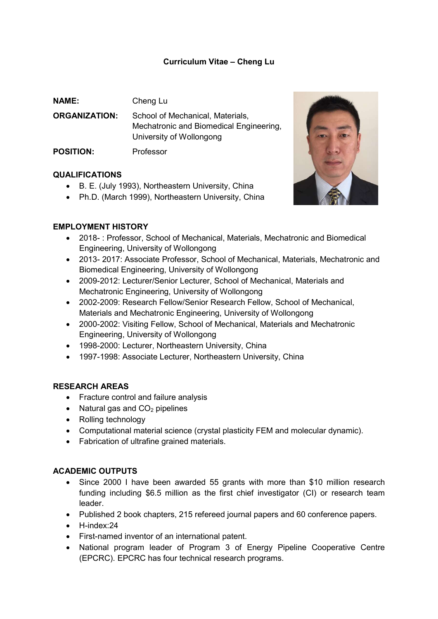# Curriculum Vitae – Cheng Lu

NAME: Cheng Lu ORGANIZATION: School of Mechanical, Materials, Mechatronic and Biomedical Engineering, University of Wollongong POSITION: Professor

### **QUALIFICATIONS**

- B. E. (July 1993), Northeastern University, China
- Ph.D. (March 1999), Northeastern University, China



### EMPLOYMENT HISTORY

- 2018- : Professor, School of Mechanical, Materials, Mechatronic and Biomedical Engineering, University of Wollongong
- 2013- 2017: Associate Professor, School of Mechanical, Materials, Mechatronic and Biomedical Engineering, University of Wollongong
- 2009-2012: Lecturer/Senior Lecturer, School of Mechanical, Materials and Mechatronic Engineering, University of Wollongong
- 2002-2009: Research Fellow/Senior Research Fellow, School of Mechanical, Materials and Mechatronic Engineering, University of Wollongong
- 2000-2002: Visiting Fellow, School of Mechanical, Materials and Mechatronic Engineering, University of Wollongong
- 1998-2000: Lecturer, Northeastern University, China
- 1997-1998: Associate Lecturer, Northeastern University, China

### RESEARCH AREAS

- Fracture control and failure analysis
- Natural gas and  $CO<sub>2</sub>$  pipelines
- Rolling technology
- Computational material science (crystal plasticity FEM and molecular dynamic).
- Fabrication of ultrafine grained materials.

### ACADEMIC OUTPUTS

- Since 2000 I have been awarded 55 grants with more than \$10 million research funding including \$6.5 million as the first chief investigator (CI) or research team leader.
- Published 2 book chapters, 215 refereed journal papers and 60 conference papers.
- H-index:24
- First-named inventor of an international patent.
- National program leader of Program 3 of Energy Pipeline Cooperative Centre (EPCRC). EPCRC has four technical research programs.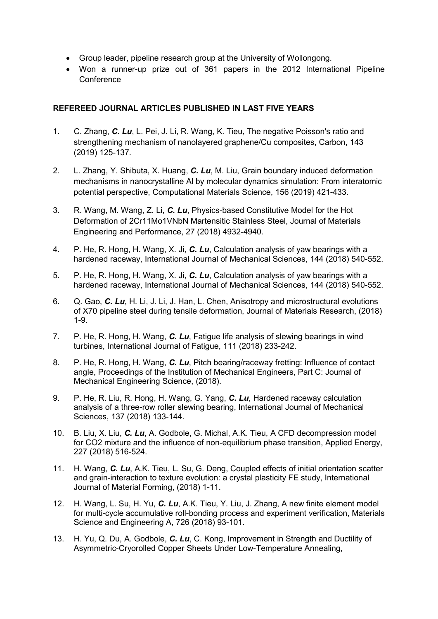- Group leader, pipeline research group at the University of Wollongong.
- Won a runner-up prize out of 361 papers in the 2012 International Pipeline **Conference**

# REFEREED JOURNAL ARTICLES PUBLISHED IN LAST FIVE YEARS

- 1. C. Zhang, C. Lu, L. Pei, J. Li, R. Wang, K. Tieu, The negative Poisson's ratio and strengthening mechanism of nanolayered graphene/Cu composites, Carbon, 143 (2019) 125-137.
- 2. L. Zhang, Y. Shibuta, X. Huang, C.  $Lu$ , M. Liu, Grain boundary induced deformation mechanisms in nanocrystalline Al by molecular dynamics simulation: From interatomic potential perspective, Computational Materials Science, 156 (2019) 421-433.
- 3. R. Wang, M. Wang, Z. Li, C. Lu, Physics-based Constitutive Model for the Hot Deformation of 2Cr11Mo1VNbN Martensitic Stainless Steel, Journal of Materials Engineering and Performance, 27 (2018) 4932-4940.
- 4. P. He, R. Hong, H. Wang, X. Ji, C.  $Lu$ , Calculation analysis of yaw bearings with a hardened raceway, International Journal of Mechanical Sciences, 144 (2018) 540-552.
- 5. P. He, R. Hong, H. Wang, X. Ji, C. Lu, Calculation analysis of yaw bearings with a hardened raceway, International Journal of Mechanical Sciences, 144 (2018) 540-552.
- 6. Q. Gao, C. Lu, H. Li, J. Li, J. Han, L. Chen, Anisotropy and microstructural evolutions of X70 pipeline steel during tensile deformation, Journal of Materials Research, (2018) 1-9.
- 7. P. He, R. Hong, H. Wang, C. Lu, Fatigue life analysis of slewing bearings in wind turbines, International Journal of Fatigue, 111 (2018) 233-242.
- 8. P. He, R. Hong, H. Wang, C. Lu. Pitch bearing/raceway fretting: Influence of contact angle, Proceedings of the Institution of Mechanical Engineers, Part C: Journal of Mechanical Engineering Science, (2018).
- 9. P. He, R. Liu, R. Hong, H. Wang, G. Yang, C. Lu, Hardened raceway calculation analysis of a three-row roller slewing bearing, International Journal of Mechanical Sciences, 137 (2018) 133-144.
- 10. B. Liu, X. Liu, C. Lu, A. Godbole, G. Michal, A.K. Tieu, A CFD decompression model for CO2 mixture and the influence of non-equilibrium phase transition, Applied Energy, 227 (2018) 516-524.
- 11. H. Wang, C. Lu, A.K. Tieu, L. Su, G. Deng, Coupled effects of initial orientation scatter and grain-interaction to texture evolution: a crystal plasticity FE study, International Journal of Material Forming, (2018) 1-11.
- 12. H. Wang, L. Su, H. Yu, C. Lu, A.K. Tieu, Y. Liu, J. Zhang, A new finite element model for multi-cycle accumulative roll-bonding process and experiment verification, Materials Science and Engineering A, 726 (2018) 93-101.
- 13. H. Yu, Q. Du, A. Godbole, C. Lu, C. Kong, Improvement in Strength and Ductility of Asymmetric-Cryorolled Copper Sheets Under Low-Temperature Annealing,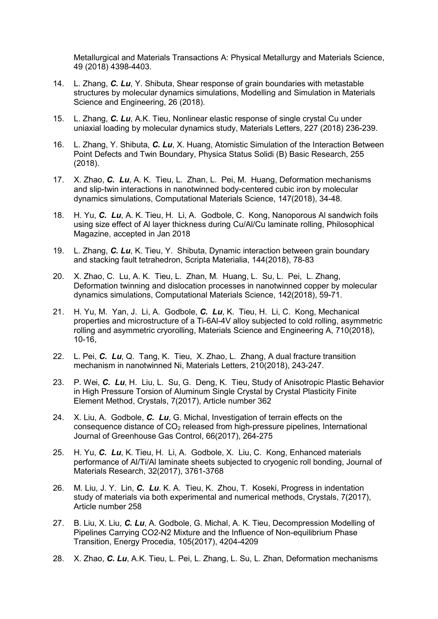Metallurgical and Materials Transactions A: Physical Metallurgy and Materials Science, 49 (2018) 4398-4403.

- 14. L. Zhang, C. Lu, Y. Shibuta, Shear response of grain boundaries with metastable structures by molecular dynamics simulations, Modelling and Simulation in Materials Science and Engineering, 26 (2018).
- 15. L. Zhang, C. Lu, A.K. Tieu, Nonlinear elastic response of single crystal Cu under uniaxial loading by molecular dynamics study, Materials Letters, 227 (2018) 236-239.
- 16. L. Zhang, Y. Shibuta, C. Lu, X. Huang, Atomistic Simulation of the Interaction Between Point Defects and Twin Boundary, Physica Status Solidi (B) Basic Research, 255 (2018).
- 17. X. Zhao, C. Lu, A. K. Tieu, L. Zhan, L. Pei, M. Huang, Deformation mechanisms and slip-twin interactions in nanotwinned body-centered cubic iron by molecular dynamics simulations, Computational Materials Science, 147(2018), 34-48.
- 18. H. Yu, C. Lu, A. K. Tieu, H. Li, A. Godbole, C. Kong, Nanoporous Al sandwich foils using size effect of Al layer thickness during Cu/Al/Cu laminate rolling, Philosophical Magazine, accepted in Jan 2018
- 19. L. Zhang, C. Lu, K. Tieu, Y. Shibuta, Dynamic interaction between grain boundary and stacking fault tetrahedron, Scripta Materialia, 144(2018), 78-83
- 20. X. Zhao, C. Lu, A. K. Tieu, L. Zhan, M. Huang, L. Su, L. Pei, L. Zhang, Deformation twinning and dislocation processes in nanotwinned copper by molecular dynamics simulations, Computational Materials Science, 142(2018), 59-71.
- 21. H. Yu, M. Yan, J. Li, A. Godbole, C. Lu, K. Tieu, H. Li, C. Kong, Mechanical properties and microstructure of a Ti-6Al-4V alloy subjected to cold rolling, asymmetric rolling and asymmetric cryorolling, Materials Science and Engineering A, 710(2018), 10-16,
- 22. L. Pei, C. Lu, Q. Tang, K. Tieu, X. Zhao, L. Zhang, A dual fracture transition mechanism in nanotwinned Ni, Materials Letters, 210(2018), 243-247.
- 23. P. Wei, C. Lu, H. Liu, L. Su, G. Deng, K. Tieu, Study of Anisotropic Plastic Behavior in High Pressure Torsion of Aluminum Single Crystal by Crystal Plasticity Finite Element Method, Crystals, 7(2017), Article number 362
- 24. X. Liu, A. Godbole, C. Lu, G. Michal, Investigation of terrain effects on the consequence distance of  $CO<sub>2</sub>$  released from high-pressure pipelines, International Journal of Greenhouse Gas Control, 66(2017), 264-275
- 25. H. Yu, C. Lu, K. Tieu, H. Li, A. Godbole, X. Liu, C. Kong, Enhanced materials performance of Al/Ti/Al laminate sheets subjected to cryogenic roll bonding, Journal of Materials Research, 32(2017), 3761-3768
- 26. M. Liu, J. Y. Lin, C. Lu, K. A. Tieu, K. Zhou, T. Koseki, Progress in indentation study of materials via both experimental and numerical methods, Crystals, 7(2017), Article number 258
- 27. B. Liu, X. Liu, C. Lu, A. Godbole, G. Michal, A. K. Tieu, Decompression Modelling of Pipelines Carrying CO2-N2 Mixture and the Influence of Non-equilibrium Phase Transition, Energy Procedia, 105(2017), 4204-4209
- 28. X. Zhao, C. Lu, A.K. Tieu, L. Pei, L. Zhang, L. Su, L. Zhan, Deformation mechanisms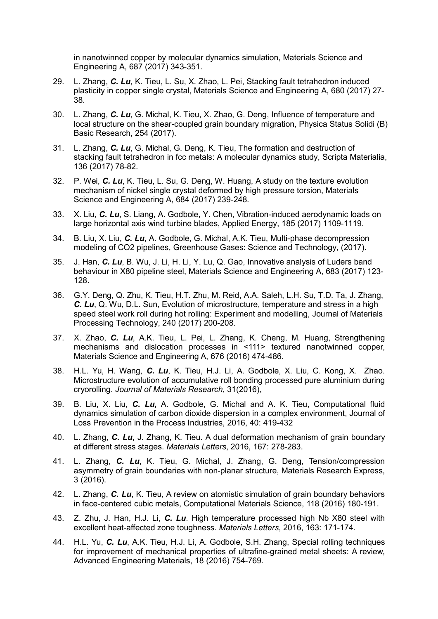in nanotwinned copper by molecular dynamics simulation, Materials Science and Engineering A, 687 (2017) 343-351.

- 29. L. Zhang, C. Lu, K. Tieu, L. Su, X. Zhao, L. Pei, Stacking fault tetrahedron induced plasticity in copper single crystal, Materials Science and Engineering A, 680 (2017) 27- 38.
- 30. L. Zhang, C. Lu, G. Michal, K. Tieu, X. Zhao, G. Deng, Influence of temperature and local structure on the shear-coupled grain boundary migration, Physica Status Solidi (B) Basic Research, 254 (2017).
- 31. L. Zhang, C. Lu, G. Michal, G. Deng, K. Tieu, The formation and destruction of stacking fault tetrahedron in fcc metals: A molecular dynamics study, Scripta Materialia, 136 (2017) 78-82.
- 32. P. Wei, C. Lu, K. Tieu, L. Su, G. Deng, W. Huang, A study on the texture evolution mechanism of nickel single crystal deformed by high pressure torsion, Materials Science and Engineering A, 684 (2017) 239-248.
- 33. X. Liu, C. Lu, S. Liang, A. Godbole, Y. Chen, Vibration-induced aerodynamic loads on large horizontal axis wind turbine blades, Applied Energy, 185 (2017) 1109-1119.
- 34. B. Liu, X. Liu, C. Lu, A. Godbole, G. Michal, A.K. Tieu, Multi-phase decompression modeling of CO2 pipelines, Greenhouse Gases: Science and Technology, (2017).
- 35. J. Han, C. Lu, B. Wu, J. Li, H. Li, Y. Lu, Q. Gao, Innovative analysis of Luders band behaviour in X80 pipeline steel, Materials Science and Engineering A, 683 (2017) 123- 128.
- 36. G.Y. Deng, Q. Zhu, K. Tieu, H.T. Zhu, M. Reid, A.A. Saleh, L.H. Su, T.D. Ta, J. Zhang, C. Lu, Q. Wu, D.L. Sun, Evolution of microstructure, temperature and stress in a high speed steel work roll during hot rolling: Experiment and modelling, Journal of Materials Processing Technology, 240 (2017) 200-208.
- 37. X. Zhao, C. Lu, A.K. Tieu, L. Pei, L. Zhang, K. Cheng, M. Huang, Strengthening mechanisms and dislocation processes in <111> textured nanotwinned copper, Materials Science and Engineering A, 676 (2016) 474-486.
- 38. H.L. Yu, H. Wang, C. Lu, K. Tieu, H.J. Li, A. Godbole, X. Liu, C. Kong, X. Zhao. Microstructure evolution of accumulative roll bonding processed pure aluminium during cryorolling. Journal of Materials Research, 31(2016),
- 39. B. Liu, X. Liu, C. Lu, A. Godbole, G. Michal and A. K. Tieu, Computational fluid dynamics simulation of carbon dioxide dispersion in a complex environment, Journal of Loss Prevention in the Process Industries, 2016, 40: 419-432
- 40. L. Zhang, C. Lu, J. Zhang, K. Tieu. A dual deformation mechanism of grain boundary at different stress stages. Materials Letters, 2016, 167: 278-283.
- 41. L. Zhang, C. Lu, K. Tieu, G. Michal, J. Zhang, G. Deng, Tension/compression asymmetry of grain boundaries with non-planar structure, Materials Research Express, 3 (2016).
- 42. L. Zhang, C. Lu, K. Tieu, A review on atomistic simulation of grain boundary behaviors in face-centered cubic metals, Computational Materials Science, 118 (2016) 180-191.
- 43. Z. Zhu, J. Han, H.J. Li, C. Lu. High temperature processed high Nb X80 steel with excellent heat-affected zone toughness. Materials Letters, 2016, 163: 171-174.
- 44. H.L. Yu, C. Lu, A.K. Tieu, H.J. Li, A. Godbole, S.H. Zhang, Special rolling techniques for improvement of mechanical properties of ultrafine-grained metal sheets: A review, Advanced Engineering Materials, 18 (2016) 754-769.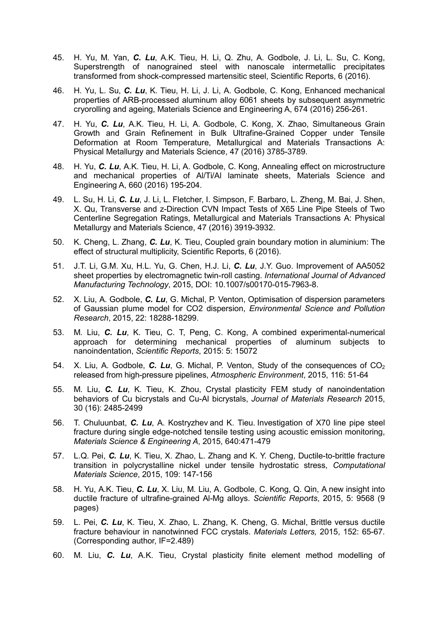- 45. H. Yu, M. Yan, C. Lu, A.K. Tieu, H. Li, Q. Zhu, A. Godbole, J. Li, L. Su, C. Kong, Superstrength of nanograined steel with nanoscale intermetallic precipitates transformed from shock-compressed martensitic steel, Scientific Reports, 6 (2016).
- 46. H. Yu, L. Su, C. Lu, K. Tieu, H. Li, J. Li, A. Godbole, C. Kong, Enhanced mechanical properties of ARB-processed aluminum alloy 6061 sheets by subsequent asymmetric cryorolling and ageing, Materials Science and Engineering A, 674 (2016) 256-261.
- 47. H. Yu, C. Lu, A.K. Tieu, H. Li, A. Godbole, C. Kong, X. Zhao, Simultaneous Grain Growth and Grain Refinement in Bulk Ultrafine-Grained Copper under Tensile Deformation at Room Temperature, Metallurgical and Materials Transactions A: Physical Metallurgy and Materials Science, 47 (2016) 3785-3789.
- 48. H. Yu, C. Lu, A.K. Tieu, H. Li, A. Godbole, C. Kong, Annealing effect on microstructure and mechanical properties of Al/Ti/Al laminate sheets, Materials Science and Engineering A, 660 (2016) 195-204.
- 49. L. Su, H. Li, C. Lu, J. Li, L. Fletcher, I. Simpson, F. Barbaro, L. Zheng, M. Bai, J. Shen, X. Qu, Transverse and z-Direction CVN Impact Tests of X65 Line Pipe Steels of Two Centerline Segregation Ratings, Metallurgical and Materials Transactions A: Physical Metallurgy and Materials Science, 47 (2016) 3919-3932.
- 50. K. Cheng, L. Zhang, C. Lu, K. Tieu, Coupled grain boundary motion in aluminium: The effect of structural multiplicity, Scientific Reports, 6 (2016).
- 51. J.T. Li, G.M. Xu, H.L. Yu, G. Chen, H.J. Li, C. Lu, J.Y. Guo. Improvement of AA5052 sheet properties by electromagnetic twin-roll casting. International Journal of Advanced Manufacturing Technology, 2015, DOI: 10.1007/s00170-015-7963-8.
- 52. X. Liu, A. Godbole, C. Lu, G. Michal, P. Venton, Optimisation of dispersion parameters of Gaussian plume model for CO2 dispersion, Environmental Science and Pollution Research, 2015, 22: 18288-18299.
- 53. M. Liu, C. Lu, K. Tieu, C. T, Peng, C. Kong, A combined experimental-numerical approach for determining mechanical properties of aluminum subjects to nanoindentation, Scientific Reports, 2015: 5: 15072
- 54. X. Liu, A. Godbole, C. Lu, G. Michal, P. Venton, Study of the consequences of  $CO<sub>2</sub>$ released from high-pressure pipelines, Atmospheric Environment, 2015, 116: 51-64
- 55. M. Liu, C. Lu, K. Tieu, K. Zhou, Crystal plasticity FEM study of nanoindentation behaviors of Cu bicrystals and Cu-Al bicrystals, Journal of Materials Research 2015, 30 (16): 2485-2499
- 56. T. Chuluunbat, C. Lu, A. Kostryzhev and K. Tieu. Investigation of X70 line pipe steel fracture during single edge-notched tensile testing using acoustic emission monitoring, Materials Science & Engineering A, 2015, 640:471-479
- 57. L.Q. Pei, C. Lu, K. Tieu, X. Zhao, L. Zhang and K. Y. Cheng, Ductile-to-brittle fracture transition in polycrystalline nickel under tensile hydrostatic stress, Computational Materials Science, 2015, 109: 147-156
- 58. H. Yu, A.K. Tieu, C. Lu, X. Liu, M. Liu, A. Godbole, C. Kong, Q. Qin, A new insight into ductile fracture of ultrafine-grained Al-Mg alloys. Scientific Reports, 2015, 5: 9568 (9 pages)
- 59. L. Pei, C. Lu, K. Tieu, X. Zhao, L. Zhang, K. Cheng, G. Michal, Brittle versus ductile fracture behaviour in nanotwinned FCC crystals. Materials Letters, 2015, 152: 65-67. (Corresponding author, IF=2.489)
- 60. M. Liu, C. Lu, A.K. Tieu, Crystal plasticity finite element method modelling of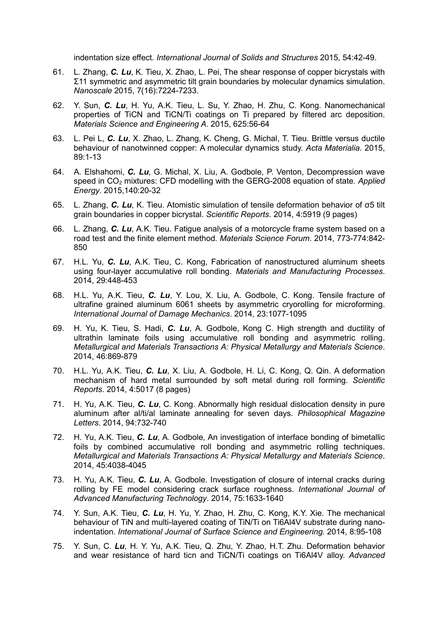indentation size effect. International Journal of Solids and Structures 2015, 54:42-49.

- 61. L. Zhang, C. Lu, K. Tieu, X. Zhao, L. Pei, The shear response of copper bicrystals with Σ11 symmetric and asymmetric tilt grain boundaries by molecular dynamics simulation. Nanoscale 2015, 7(16):7224-7233.
- 62. Y. Sun, C. Lu, H. Yu, A.K. Tieu, L. Su, Y. Zhao, H. Zhu, C. Kong. Nanomechanical properties of TiCN and TiCN/Ti coatings on Ti prepared by filtered arc deposition. Materials Science and Engineering A. 2015, 625:56-64
- 63. L. Pei L, C. Lu, X. Zhao, L. Zhang, K. Cheng, G. Michal, T. Tieu. Brittle versus ductile behaviour of nanotwinned copper: A molecular dynamics study. Acta Materialia. 2015, 89:1-13
- 64. A. Elshahomi, C. Lu, G. Michal, X. Liu, A. Godbole, P. Venton, Decompression wave speed in  $CO<sub>2</sub>$  mixtures: CFD modelling with the GERG-2008 equation of state. Applied Energy. 2015,140:20-32
- 65. L. Zhang, C. Lu, K. Tieu. Atomistic simulation of tensile deformation behavior of σ5 tilt grain boundaries in copper bicrystal. Scientific Reports. 2014, 4:5919 (9 pages)
- 66. L. Zhang, C. Lu, A.K. Tieu. Fatigue analysis of a motorcycle frame system based on a road test and the finite element method. Materials Science Forum. 2014, 773-774:842- 850
- 67. H.L. Yu, C. Lu, A.K. Tieu, C. Kong, Fabrication of nanostructured aluminum sheets using four-layer accumulative roll bonding. Materials and Manufacturing Processes. 2014, 29:448-453
- 68. H.L. Yu, A.K. Tieu, C. Lu, Y. Lou, X. Liu, A. Godbole, C. Kong. Tensile fracture of ultrafine grained aluminum 6061 sheets by asymmetric cryorolling for microforming. International Journal of Damage Mechanics. 2014, 23:1077-1095
- 69. H. Yu, K. Tieu, S. Hadi, C. Lu, A. Godbole, Kong C. High strength and ductility of ultrathin laminate foils using accumulative roll bonding and asymmetric rolling. Metallurgical and Materials Transactions A: Physical Metallurgy and Materials Science. 2014, 46:869-879
- 70. H.L. Yu, A.K. Tieu, C. Lu, X. Liu, A. Godbole, H. Li, C. Kong, Q. Qin. A deformation mechanism of hard metal surrounded by soft metal during roll forming. Scientific Reports. 2014, 4:5017 (8 pages)
- 71. H. Yu, A.K. Tieu, C. Lu, C. Kong. Abnormally high residual dislocation density in pure aluminum after al/ti/al laminate annealing for seven days. Philosophical Magazine Letters. 2014, 94:732-740
- 72. H. Yu, A.K. Tieu, C. Lu, A. Godbole, An investigation of interface bonding of bimetallic foils by combined accumulative roll bonding and asymmetric rolling techniques. Metallurgical and Materials Transactions A: Physical Metallurgy and Materials Science. 2014, 45:4038-4045
- 73. H. Yu, A.K. Tieu, C. Lu, A. Godbole. Investigation of closure of internal cracks during rolling by FE model considering crack surface roughness. International Journal of Advanced Manufacturing Technology. 2014, 75:1633-1640
- 74. Y. Sun, A.K. Tieu, C. Lu, H. Yu, Y. Zhao, H. Zhu, C. Kong, K.Y. Xie. The mechanical behaviour of TiN and multi-layered coating of TiN/Ti on Ti6Al4V substrate during nanoindentation. International Journal of Surface Science and Engineering. 2014, 8:95-108
- 75. Y. Sun, C. Lu, H. Y. Yu, A.K. Tieu, Q. Zhu, Y. Zhao, H.T. Zhu. Deformation behavior and wear resistance of hard ticn and TiCN/Ti coatings on Ti6Al4V alloy. Advanced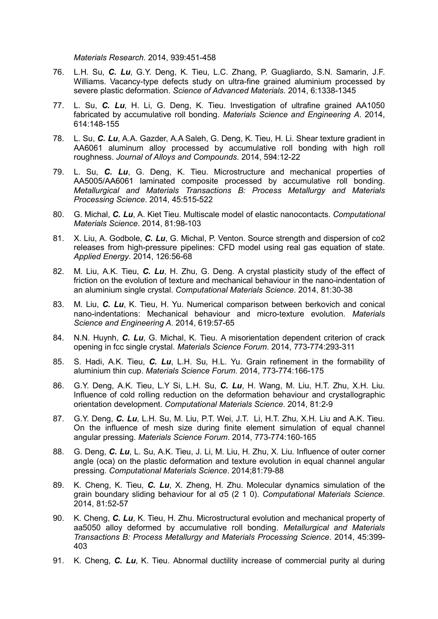Materials Research. 2014, 939:451-458

- 76. L.H. Su, C. Lu, G.Y. Deng, K. Tieu, L.C. Zhang, P. Guagliardo, S.N. Samarin, J.F. Williams. Vacancy-type defects study on ultra-fine grained aluminium processed by severe plastic deformation. Science of Advanced Materials. 2014, 6:1338-1345
- 77. L. Su, C. Lu, H. Li, G. Deng, K. Tieu. Investigation of ultrafine grained AA1050 fabricated by accumulative roll bonding. Materials Science and Engineering A. 2014, 614:148-155
- 78. L. Su, C. Lu, A.A. Gazder, A.A Saleh, G. Deng, K. Tieu, H. Li. Shear texture gradient in AA6061 aluminum alloy processed by accumulative roll bonding with high roll roughness. Journal of Alloys and Compounds. 2014, 594:12-22
- 79. L. Su, C. Lu, G. Deng, K. Tieu. Microstructure and mechanical properties of AA5005/AA6061 laminated composite processed by accumulative roll bonding. Metallurgical and Materials Transactions B: Process Metallurgy and Materials Processing Science. 2014, 45:515-522
- 80. G. Michal, C. Lu, A. Kiet Tieu. Multiscale model of elastic nanocontacts. Computational Materials Science. 2014, 81:98-103
- 81. X. Liu, A. Godbole, C. Lu, G. Michal, P. Venton. Source strength and dispersion of co2 releases from high-pressure pipelines: CFD model using real gas equation of state. Applied Energy. 2014, 126:56-68
- 82. M. Liu, A.K. Tieu, C. Lu, H. Zhu, G. Deng. A crystal plasticity study of the effect of friction on the evolution of texture and mechanical behaviour in the nano-indentation of an aluminium single crystal. Computational Materials Science. 2014, 81:30-38
- 83. M. Liu, C. Lu, K. Tieu, H. Yu. Numerical comparison between berkovich and conical nano-indentations: Mechanical behaviour and micro-texture evolution. Materials Science and Engineering A. 2014, 619:57-65
- 84. N.N. Huynh, C. Lu, G. Michal, K. Tieu. A misorientation dependent criterion of crack opening in fcc single crystal. Materials Science Forum. 2014, 773-774:293-311
- 85. S. Hadi, A.K. Tieu, C. Lu, L.H. Su, H.L. Yu. Grain refinement in the formability of aluminium thin cup. Materials Science Forum. 2014, 773-774:166-175
- 86. G.Y. Deng, A.K. Tieu, L.Y Si, L.H. Su, C. Lu, H. Wang, M. Liu, H.T. Zhu, X.H. Liu. Influence of cold rolling reduction on the deformation behaviour and crystallographic orientation development. Computational Materials Science. 2014, 81:2-9
- 87. G.Y. Deng, C. Lu, L.H. Su, M. Liu, P.T. Wei, J.T. Li, H.T. Zhu, X.H. Liu and A.K. Tieu. On the influence of mesh size during finite element simulation of equal channel angular pressing. Materials Science Forum. 2014, 773-774:160-165
- 88. G. Deng, C. Lu, L. Su, A.K. Tieu, J. Li, M. Liu, H. Zhu, X. Liu. Influence of outer corner angle (oca) on the plastic deformation and texture evolution in equal channel angular pressing. Computational Materials Science. 2014;81:79-88
- 89. K. Cheng, K. Tieu, C. Lu, X. Zheng, H. Zhu. Molecular dynamics simulation of the grain boundary sliding behaviour for al σ5 (2 1 0). Computational Materials Science. 2014, 81:52-57
- 90. K. Cheng, C. Lu, K. Tieu, H. Zhu. Microstructural evolution and mechanical property of aa5050 alloy deformed by accumulative roll bonding. Metallurgical and Materials Transactions B: Process Metallurgy and Materials Processing Science. 2014, 45:399- 403
- 91. K. Cheng, C. Lu, K. Tieu. Abnormal ductility increase of commercial purity al during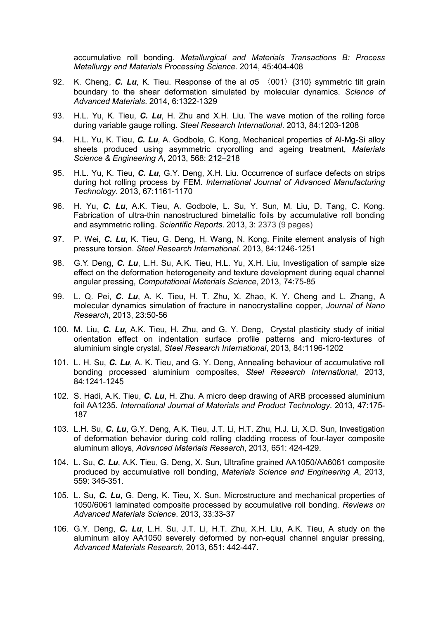accumulative roll bonding. Metallurgical and Materials Transactions B: Process Metallurgy and Materials Processing Science. 2014, 45:404-408

- 92. K. Cheng, C. Lu, K. Tieu. Response of the al  $\sigma$ 5  $\langle$  001)  $\{310\}$  symmetric tilt grain boundary to the shear deformation simulated by molecular dynamics. Science of Advanced Materials. 2014, 6:1322-1329
- 93. H.L. Yu, K. Tieu, C. Lu, H. Zhu and X.H. Liu. The wave motion of the rolling force during variable gauge rolling. Steel Research International. 2013, 84:1203-1208
- 94. H.L. Yu, K. Tieu, C. Lu, A. Godbole, C. Kong, Mechanical properties of Al-Mg-Si alloy sheets produced using asymmetric cryorolling and ageing treatment, Materials Science & Engineering A, 2013, 568: 212–218
- 95. H.L. Yu, K. Tieu, C. Lu, G.Y. Deng, X.H. Liu. Occurrence of surface defects on strips during hot rolling process by FEM. International Journal of Advanced Manufacturing Technology. 2013, 67:1161-1170
- 96. H. Yu, C. Lu, A.K. Tieu, A. Godbole, L. Su, Y. Sun, M. Liu, D. Tang, C. Kong. Fabrication of ultra-thin nanostructured bimetallic foils by accumulative roll bonding and asymmetric rolling. Scientific Reports. 2013, 3: 2373 (9 pages)
- 97. P. Wei, C. Lu, K. Tieu, G. Deng, H. Wang, N. Kong. Finite element analysis of high pressure torsion. Steel Research International. 2013, 84:1246-1251
- 98. G.Y. Deng, C. Lu, L.H. Su, A.K. Tieu, H.L. Yu, X.H. Liu, Investigation of sample size effect on the deformation heterogeneity and texture development during equal channel angular pressing, Computational Materials Science, 2013, 74:75-85
- 99. L. Q. Pei, C. Lu, A. K. Tieu, H. T. Zhu, X. Zhao, K. Y. Cheng and L. Zhang, A molecular dynamics simulation of fracture in nanocrystalline copper, Journal of Nano Research, 2013, 23:50-56
- 100. M. Liu, C. Lu, A.K. Tieu, H. Zhu, and G. Y. Deng, Crystal plasticity study of initial orientation effect on indentation surface profile patterns and micro-textures of aluminium single crystal, Steel Research International, 2013, 84:1196-1202
- 101. L. H. Su, C. Lu, A. K. Tieu, and G. Y. Deng, Annealing behaviour of accumulative roll bonding processed aluminium composites, Steel Research International, 2013, 84:1241-1245
- 102. S. Hadi, A.K. Tieu, C. Lu, H. Zhu. A micro deep drawing of ARB processed aluminium foil AA1235. International Journal of Materials and Product Technology. 2013, 47:175- 187
- 103. L.H. Su, C. Lu, G.Y. Deng, A.K. Tieu, J.T. Li, H.T. Zhu, H.J. Li, X.D. Sun, Investigation of deformation behavior during cold rolling cladding rrocess of four-layer composite aluminum alloys, Advanced Materials Research, 2013, 651: 424-429.
- 104. L. Su, C. Lu, A.K. Tieu, G. Deng, X. Sun, Ultrafine grained AA1050/AA6061 composite produced by accumulative roll bonding, Materials Science and Engineering A, 2013, 559: 345-351.
- 105. L. Su, C. Lu, G. Deng, K. Tieu, X. Sun. Microstructure and mechanical properties of 1050/6061 laminated composite processed by accumulative roll bonding. Reviews on Advanced Materials Science. 2013, 33:33-37
- 106. G.Y. Deng, C. Lu, L.H. Su, J.T. Li, H.T. Zhu, X.H. Liu, A.K. Tieu, A study on the aluminum alloy AA1050 severely deformed by non-equal channel angular pressing, Advanced Materials Research, 2013, 651: 442-447.